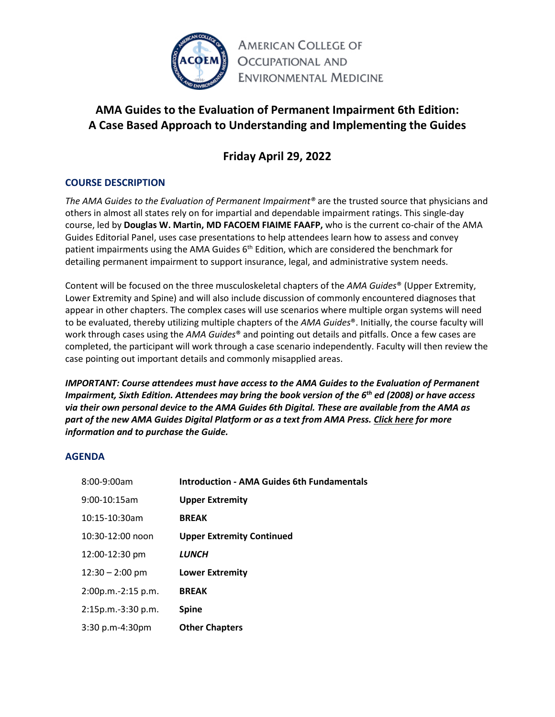

**AMERICAN COLLEGE OF OCCUPATIONAL AND ENVIRONMENTAL MEDICINE** 

# **AMA Guides to the Evaluation of Permanent Impairment 6th Edition: A Case Based Approach to Understanding and Implementing the Guides**

# **Friday April 29, 2022**

# **COURSE DESCRIPTION**

*The AMA Guides to the Evaluation of Permanent Impairment®* are the trusted source that physicians and others in almost all states rely on for impartial and dependable impairment ratings. This single‐day course, led by **Douglas W. Martin, MD FACOEM FIAIME FAAFP,** who is the current co-chair of the AMA Guides Editorial Panel, uses case presentations to help attendees learn how to assess and convey patient impairments using the AMA Guides  $6<sup>th</sup>$  Edition, which are considered the benchmark for detailing permanent impairment to support insurance, legal, and administrative system needs.

Content will be focused on the three musculoskeletal chapters of the *AMA Guides*® (Upper Extremity, Lower Extremity and Spine) and will also include discussion of commonly encountered diagnoses that appear in other chapters. The complex cases will use scenarios where multiple organ systems will need to be evaluated, thereby utilizing multiple chapters of the *AMA Guides*®. Initially, the course faculty will work through cases using the *AMA Guides*® and pointing out details and pitfalls. Once a few cases are completed, the participant will work through a case scenario independently. Faculty will then review the case pointing out important details and commonly misapplied areas.

*IMPORTANT: Course attendees must have access to the AMA Guides to the Evaluation of Permanent Impairment, Sixth Edition. Attendees may bring the book version of the 6th ed (2008) or have access via their own personal device to the AMA Guides 6th Digital. These are available from the AMA as part of the new AMA Guides Digital Platform or as a text from AMA Press. [Click here](about:blank) for more information and to purchase the Guide.*

# **AGENDA**

| <b>Introduction - AMA Guides 6th Fundamentals</b> |
|---------------------------------------------------|
| <b>Upper Extremity</b>                            |
| <b>BREAK</b>                                      |
| <b>Upper Extremity Continued</b>                  |
| <b>LUNCH</b>                                      |
| <b>Lower Extremity</b>                            |
| <b>BREAK</b>                                      |
| <b>Spine</b>                                      |
| <b>Other Chapters</b>                             |
|                                                   |